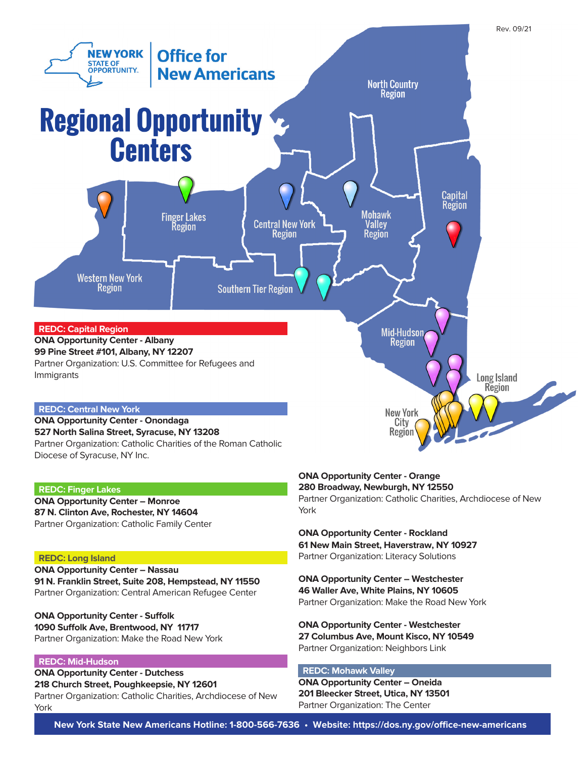

# **REDC: Finger Lakes**

**ONA Opportunity Center – Monroe 87 N. Clinton Ave, Rochester, NY 14604** Partner Organization: Catholic Family Center

# **REDC: Long Island**

**ONA Opportunity Center – Nassau 91 N. Franklin Street, Suite 208, Hempstead, NY 11550** Partner Organization: Central American Refugee Center

**ONA Opportunity Center - Suffolk 1090 Suffolk Ave, Brentwood, NY 11717** Partner Organization: Make the Road New York

# **REDC: Mid-Hudson**

**ONA Opportunity Center - Dutchess 218 Church Street, Poughkeepsie, NY 12601**

Partner Organization: Catholic Charities, Archdiocese of New York

### **ONA Opportunity Center - Orange 280 Broadway, Newburgh, NY 12550**

Partner Organization: Catholic Charities, Archdiocese of New York

**ONA Opportunity Center - Rockland 61 New Main Street, Haverstraw, NY 10927** Partner Organization: Literacy Solutions

**ONA Opportunity Center – Westchester 46 Waller Ave, White Plains, NY 10605** Partner Organization: Make the Road New York

**ONA Opportunity Center - Westchester 27 Columbus Ave, Mount Kisco, NY 10549** Partner Organization: Neighbors Link

# **REDC: Mohawk Valley**

**ONA Opportunity Center – Oneida 201 Bleecker Street, Utica, NY 13501** Partner Organization: The Center

**New York State New Americans Hotline: 1-800-566-7636 • Website: https://dos.ny.gov/office-new-americans**